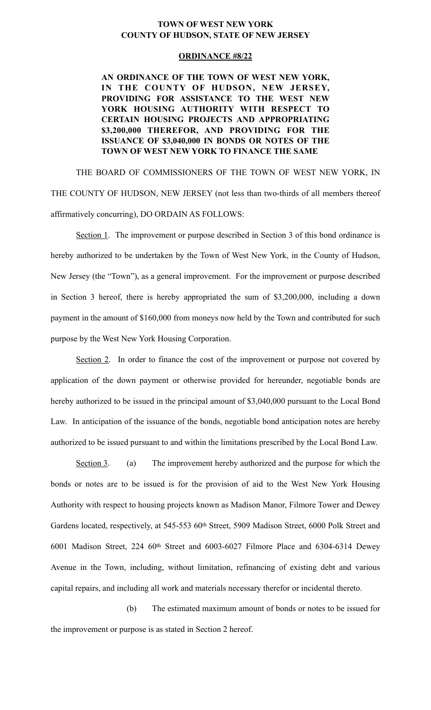## **TOWN OF WEST NEW YORK COUNTY OF HUDSON, STATE OF NEW JERSEY**

## **ORDINANCE #8/22**

**AN ORDINANCE OF THE TOWN OF WEST NEW YORK, IN THE COUNTY OF HUDSON, NEW JERSEY, PROVIDING FOR ASSISTANCE TO THE WEST NEW YORK HOUSING AUTHORITY WITH RESPECT TO CERTAIN HOUSING PROJECTS AND APPROPRIATING \$3,200,000 THEREFOR, AND PROVIDING FOR THE ISSUANCE OF \$3,040,000 IN BONDS OR NOTES OF THE TOWN OF WEST NEW YORK TO FINANCE THE SAME** 

THE BOARD OF COMMISSIONERS OF THE TOWN OF WEST NEW YORK, IN THE COUNTY OF HUDSON, NEW JERSEY (not less than two-thirds of all members thereof affirmatively concurring), DO ORDAIN AS FOLLOWS:

Section 1. The improvement or purpose described in Section 3 of this bond ordinance is hereby authorized to be undertaken by the Town of West New York, in the County of Hudson, New Jersey (the "Town"), as a general improvement. For the improvement or purpose described in Section 3 hereof, there is hereby appropriated the sum of \$3,200,000, including a down payment in the amount of \$160,000 from moneys now held by the Town and contributed for such purpose by the West New York Housing Corporation.

Section 2. In order to finance the cost of the improvement or purpose not covered by application of the down payment or otherwise provided for hereunder, negotiable bonds are hereby authorized to be issued in the principal amount of \$3,040,000 pursuant to the Local Bond Law. In anticipation of the issuance of the bonds, negotiable bond anticipation notes are hereby authorized to be issued pursuant to and within the limitations prescribed by the Local Bond Law.

Section 3. (a) The improvement hereby authorized and the purpose for which the bonds or notes are to be issued is for the provision of aid to the West New York Housing Authority with respect to housing projects known as Madison Manor, Filmore Tower and Dewey Gardens located, respectively, at 545-553 60<sup>th</sup> Street, 5909 Madison Street, 6000 Polk Street and 6001 Madison Street, 224 60th Street and 6003-6027 Filmore Place and 6304-6314 Dewey Avenue in the Town, including, without limitation, refinancing of existing debt and various capital repairs, and including all work and materials necessary therefor or incidental thereto.

(b) The estimated maximum amount of bonds or notes to be issued for the improvement or purpose is as stated in Section 2 hereof.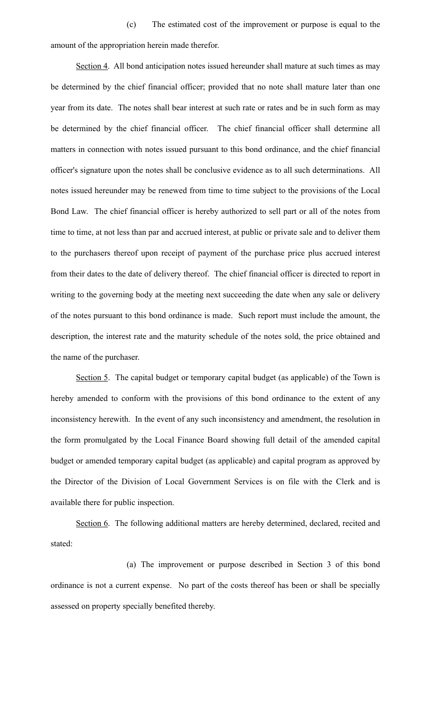(c) The estimated cost of the improvement or purpose is equal to the amount of the appropriation herein made therefor.

Section 4. All bond anticipation notes issued hereunder shall mature at such times as may be determined by the chief financial officer; provided that no note shall mature later than one year from its date. The notes shall bear interest at such rate or rates and be in such form as may be determined by the chief financial officer. The chief financial officer shall determine all matters in connection with notes issued pursuant to this bond ordinance, and the chief financial officer's signature upon the notes shall be conclusive evidence as to all such determinations. All notes issued hereunder may be renewed from time to time subject to the provisions of the Local Bond Law. The chief financial officer is hereby authorized to sell part or all of the notes from time to time, at not less than par and accrued interest, at public or private sale and to deliver them to the purchasers thereof upon receipt of payment of the purchase price plus accrued interest from their dates to the date of delivery thereof. The chief financial officer is directed to report in writing to the governing body at the meeting next succeeding the date when any sale or delivery of the notes pursuant to this bond ordinance is made. Such report must include the amount, the description, the interest rate and the maturity schedule of the notes sold, the price obtained and the name of the purchaser.

Section 5. The capital budget or temporary capital budget (as applicable) of the Town is hereby amended to conform with the provisions of this bond ordinance to the extent of any inconsistency herewith. In the event of any such inconsistency and amendment, the resolution in the form promulgated by the Local Finance Board showing full detail of the amended capital budget or amended temporary capital budget (as applicable) and capital program as approved by the Director of the Division of Local Government Services is on file with the Clerk and is available there for public inspection.

Section 6. The following additional matters are hereby determined, declared, recited and stated:

 (a) The improvement or purpose described in Section 3 of this bond ordinance is not a current expense. No part of the costs thereof has been or shall be specially assessed on property specially benefited thereby.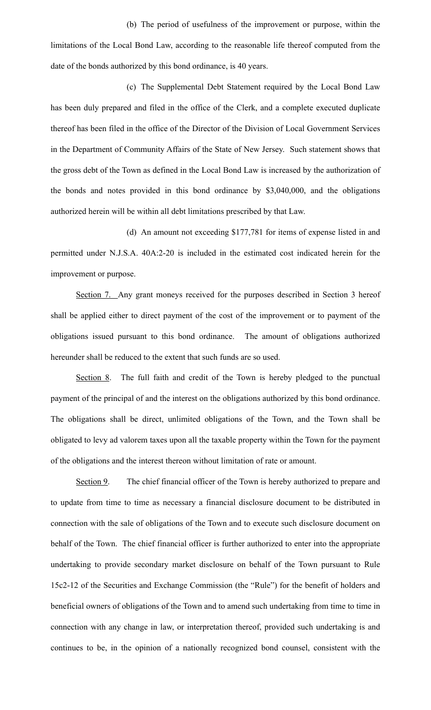(b) The period of usefulness of the improvement or purpose, within the limitations of the Local Bond Law, according to the reasonable life thereof computed from the date of the bonds authorized by this bond ordinance, is 40 years.

(c) The Supplemental Debt Statement required by the Local Bond Law has been duly prepared and filed in the office of the Clerk, and a complete executed duplicate thereof has been filed in the office of the Director of the Division of Local Government Services in the Department of Community Affairs of the State of New Jersey. Such statement shows that the gross debt of the Town as defined in the Local Bond Law is increased by the authorization of the bonds and notes provided in this bond ordinance by \$3,040,000, and the obligations authorized herein will be within all debt limitations prescribed by that Law.

(d) An amount not exceeding \$177,781 for items of expense listed in and permitted under N.J.S.A. 40A:2-20 is included in the estimated cost indicated herein for the improvement or purpose.

Section 7. Any grant moneys received for the purposes described in Section 3 hereof shall be applied either to direct payment of the cost of the improvement or to payment of the obligations issued pursuant to this bond ordinance. The amount of obligations authorized hereunder shall be reduced to the extent that such funds are so used.

Section 8. The full faith and credit of the Town is hereby pledged to the punctual payment of the principal of and the interest on the obligations authorized by this bond ordinance. The obligations shall be direct, unlimited obligations of the Town, and the Town shall be obligated to levy ad valorem taxes upon all the taxable property within the Town for the payment of the obligations and the interest thereon without limitation of rate or amount.

Section 9. The chief financial officer of the Town is hereby authorized to prepare and to update from time to time as necessary a financial disclosure document to be distributed in connection with the sale of obligations of the Town and to execute such disclosure document on behalf of the Town. The chief financial officer is further authorized to enter into the appropriate undertaking to provide secondary market disclosure on behalf of the Town pursuant to Rule 15c2-12 of the Securities and Exchange Commission (the "Rule") for the benefit of holders and beneficial owners of obligations of the Town and to amend such undertaking from time to time in connection with any change in law, or interpretation thereof, provided such undertaking is and continues to be, in the opinion of a nationally recognized bond counsel, consistent with the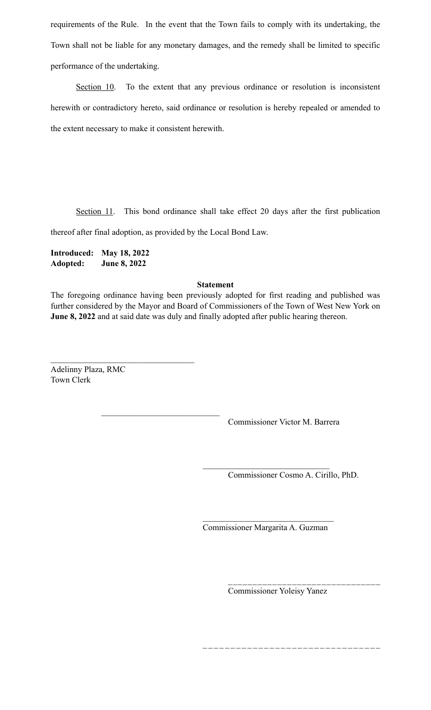requirements of the Rule. In the event that the Town fails to comply with its undertaking, the Town shall not be liable for any monetary damages, and the remedy shall be limited to specific performance of the undertaking.

Section 10. To the extent that any previous ordinance or resolution is inconsistent herewith or contradictory hereto, said ordinance or resolution is hereby repealed or amended to the extent necessary to make it consistent herewith.

Section 11. This bond ordinance shall take effect 20 days after the first publication

thereof after final adoption, as provided by the Local Bond Law.

**Introduced: May 18, 2022 Adopted: June 8, 2022** 

## **Statement**

The foregoing ordinance having been previously adopted for first reading and published was further considered by the Mayor and Board of Commissioners of the Town of West New York on **June 8, 2022** and at said date was duly and finally adopted after public hearing thereon.

Adelinny Plaza, RMC Town Clerk

 $\mathcal{L}_\text{max}$  , where  $\mathcal{L}_\text{max}$  and  $\mathcal{L}_\text{max}$  and  $\mathcal{L}_\text{max}$ 

 $\mathcal{L}_\text{max} = \frac{1}{2} \sum_{i=1}^{n} \frac{1}{2} \sum_{i=1}^{n} \frac{1}{2} \sum_{i=1}^{n} \frac{1}{2} \sum_{i=1}^{n} \frac{1}{2} \sum_{i=1}^{n} \frac{1}{2} \sum_{i=1}^{n} \frac{1}{2} \sum_{i=1}^{n} \frac{1}{2} \sum_{i=1}^{n} \frac{1}{2} \sum_{i=1}^{n} \frac{1}{2} \sum_{i=1}^{n} \frac{1}{2} \sum_{i=1}^{n} \frac{1}{2} \sum_{i=1}^{n} \frac{1$ 

Commissioner Victor M. Barrera

 $\mathcal{L}_\text{max}$  , where  $\mathcal{L}_\text{max}$  and  $\mathcal{L}_\text{max}$ Commissioner Cosmo A. Cirillo, PhD.

 $\mathcal{L}_\text{max}$  , where  $\mathcal{L}_\text{max}$  and  $\mathcal{L}_\text{max}$ Commissioner Margarita A. Guzman

Commissioner Yoleisy Yanez

\_ \_ \_ \_ \_ \_ \_ \_ \_ \_ \_ \_ \_ \_ \_ \_ \_ \_ \_ \_ \_ \_ \_ \_ \_ \_ \_ \_ \_ \_ \_ \_

\_\_\_\_\_\_\_\_\_\_\_\_\_\_\_\_\_\_\_\_\_\_\_\_\_\_\_\_\_\_\_